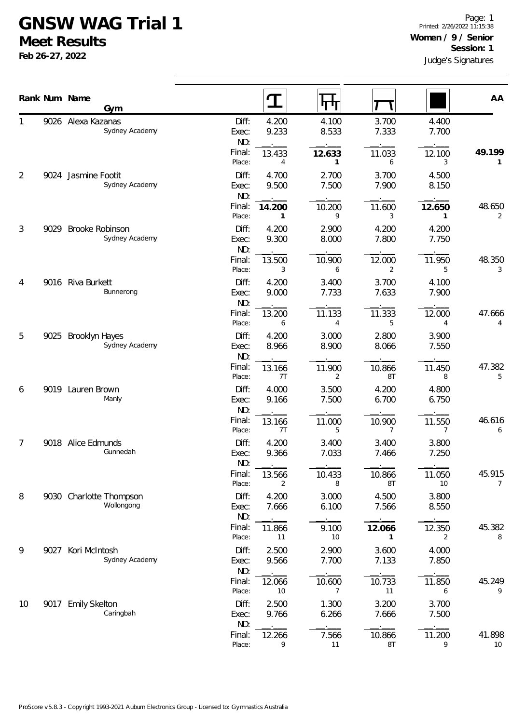## **GNSW WAG Trial 1**

**Meet Results**

**Feb 26-27, 2022**

|    |      | Rank Num Name                               |                         | $\mathbf T$    | Л                      |                          |                | AA           |
|----|------|---------------------------------------------|-------------------------|----------------|------------------------|--------------------------|----------------|--------------|
| 1  |      | Gym<br>9026 Alexa Kazanas<br>Sydney Academy | Diff:<br>Exec:          | 4.200<br>9.233 | 4.100<br>8.533         | 3.700<br>7.333           | 4.400<br>7.700 |              |
|    |      |                                             | ND:<br>Final:<br>Place: | 13.433<br>4    | 12.633<br>$\mathbf{1}$ | 11.033<br>6              | 12.100<br>3    | 49.199<br>1  |
| 2  | 9024 | Jasmine Footit<br>Sydney Academy            | Diff:<br>Exec:<br>ND:   | 4.700<br>9.500 | 2.700<br>7.500         | 3.700<br>7.900           | 4.500<br>8.150 |              |
|    |      |                                             | Final:<br>Place:        | 14.200<br>1    | 10.200<br>9            | 11.600<br>3              | 12.650<br>1    | 48.650<br>2  |
| 3  | 9029 | Brooke Robinson<br>Sydney Academy           | Diff:<br>Exec:<br>ND:   | 4.200<br>9.300 | 2.900<br>8.000         | 4.200<br>7.800           | 4.200<br>7.750 |              |
|    |      |                                             | Final:<br>Place:        | 13.500<br>3    | 10.900<br>6            | 12.000<br>2              | 11.950<br>5    | 48.350<br>3  |
| 4  |      | 9016 Riva Burkett<br>Bunnerong              | Diff:<br>Exec:<br>ND:   | 4.200<br>9.000 | 3.400<br>7.733         | 3.700<br>7.633           | 4.100<br>7.900 |              |
|    |      |                                             | Final:<br>Place:        | 13.200<br>6    | 11.133<br>4            | 11.333<br>5              | 12.000<br>4    | 47.666<br>4  |
| 5  | 9025 | <b>Brooklyn Hayes</b><br>Sydney Academy     | Diff:<br>Exec:<br>ND:   | 4.200<br>8.966 | 3.000<br>8.900         | 2.800<br>8.066           | 3.900<br>7.550 |              |
|    |      |                                             | Final:<br>Place:        | 13.166<br>7T   | 11.900<br>2            | 10.866<br>8T             | 11.450<br>8    | 47.382<br>5  |
| 6  |      | 9019 Lauren Brown<br>Manly                  | Diff:<br>Exec:<br>ND:   | 4.000<br>9.166 | 3.500<br>7.500         | 4.200<br>6.700           | 4.800<br>6.750 |              |
|    |      |                                             | Final:<br>Place:        | 13.166<br>7T   | 11.000<br>5            | 10.900<br>$\overline{7}$ | 11.550<br>7    | 46.616<br>6  |
| 7  |      | 9018 Alice Edmunds<br>Gunnedah              | Diff:<br>Exec:<br>ND:   | 4.200<br>9.366 | 3.400<br>7.033         | 3.400<br>7.466           | 3.800<br>7.250 |              |
|    |      |                                             | Final:<br>Place:        | 13.566<br>2    | 10.433<br>8            | 10.866<br>8T             | 11.050<br>10   | 45.915<br>7  |
| 8  |      | 9030 Charlotte Thompson<br>Wollongong       | Diff:<br>Exec:<br>ND:   | 4.200<br>7.666 | 3.000<br>6.100         | 4.500<br>7.566           | 3.800<br>8.550 |              |
|    |      |                                             | Final:<br>Place:        | 11.866<br>11   | 9.100<br>10            | 12.066<br>1              | 12.350<br>2    | 45.382<br>8  |
| 9  | 9027 | Kori McIntosh<br>Sydney Academy             | Diff:<br>Exec:<br>ND:   | 2.500<br>9.566 | 2.900<br>7.700         | 3.600<br>7.133           | 4.000<br>7.850 |              |
|    |      |                                             | Final:<br>Place:        | 12.066<br>10   | 10.600<br>7            | 10.733<br>11             | 11.850<br>6    | 45.249<br>9  |
| 10 | 9017 | <b>Emily Skelton</b><br>Caringbah           | Diff:<br>Exec:<br>ND:   | 2.500<br>9.766 | 1.300<br>6.266         | 3.200<br>7.666           | 3.700<br>7.500 |              |
|    |      |                                             | Final:<br>Place:        | 12.266<br>9    | 7.566<br>11            | 10.866<br>8T             | 11.200<br>9    | 41.898<br>10 |